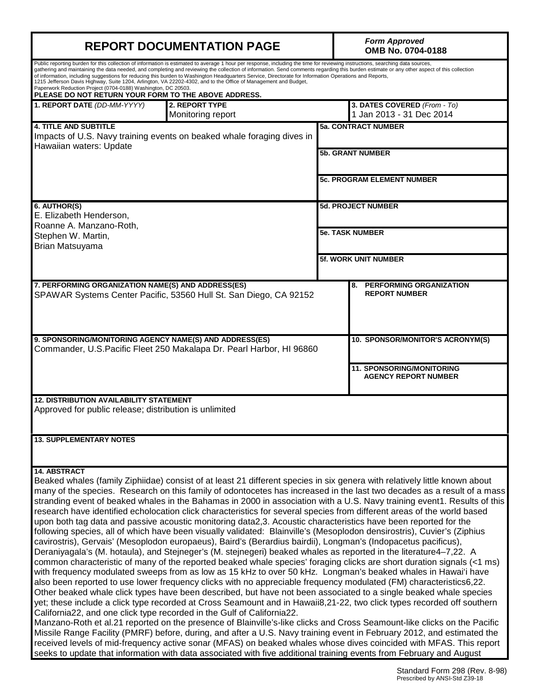| <b>REPORT DOCUMENTATION PAGE</b>                                                                                                                                                                                                                                                                                                                                                                                                                                                                                                                                                                                                                                                                                                                                                                                                                                                                                                                                                                                                                                                                                                                                                                                                                                                                                                                                                                                                                                                                                                                                                                                                                                                                                                                                                                                                               | <b>Form Approved</b><br>OMB No. 0704-0188                |                                                                 |  |  |  |
|------------------------------------------------------------------------------------------------------------------------------------------------------------------------------------------------------------------------------------------------------------------------------------------------------------------------------------------------------------------------------------------------------------------------------------------------------------------------------------------------------------------------------------------------------------------------------------------------------------------------------------------------------------------------------------------------------------------------------------------------------------------------------------------------------------------------------------------------------------------------------------------------------------------------------------------------------------------------------------------------------------------------------------------------------------------------------------------------------------------------------------------------------------------------------------------------------------------------------------------------------------------------------------------------------------------------------------------------------------------------------------------------------------------------------------------------------------------------------------------------------------------------------------------------------------------------------------------------------------------------------------------------------------------------------------------------------------------------------------------------------------------------------------------------------------------------------------------------|----------------------------------------------------------|-----------------------------------------------------------------|--|--|--|
| Public reporting burden for this collection of information is estimated to average 1 hour per response, including the time for reviewing instructions, searching data sources,<br>gathering and maintaining the data needed, and completing and reviewing the collection of information. Send comments regarding this burden estimate or any other aspect of this collection<br>of information, including suggestions for reducing this burden to Washington Headquarters Service, Directorate for Information Operations and Reports,<br>1215 Jefferson Davis Highway, Suite 1204, Arlington, VA 22202-4302, and to the Office of Management and Budget,<br>Paperwork Reduction Project (0704-0188) Washington, DC 20503.<br>PLEASE DO NOT RETURN YOUR FORM TO THE ABOVE ADDRESS.                                                                                                                                                                                                                                                                                                                                                                                                                                                                                                                                                                                                                                                                                                                                                                                                                                                                                                                                                                                                                                                             |                                                          |                                                                 |  |  |  |
| 2. REPORT TYPE<br>1. REPORT DATE (DD-MM-YYYY)<br>Monitoring report                                                                                                                                                                                                                                                                                                                                                                                                                                                                                                                                                                                                                                                                                                                                                                                                                                                                                                                                                                                                                                                                                                                                                                                                                                                                                                                                                                                                                                                                                                                                                                                                                                                                                                                                                                             | 3. DATES COVERED (From - To)<br>1 Jan 2013 - 31 Dec 2014 |                                                                 |  |  |  |
| <b>4. TITLE AND SUBTITLE</b><br>Impacts of U.S. Navy training events on beaked whale foraging dives in                                                                                                                                                                                                                                                                                                                                                                                                                                                                                                                                                                                                                                                                                                                                                                                                                                                                                                                                                                                                                                                                                                                                                                                                                                                                                                                                                                                                                                                                                                                                                                                                                                                                                                                                         |                                                          | <b>5a. CONTRACT NUMBER</b>                                      |  |  |  |
| Hawaiian waters: Update                                                                                                                                                                                                                                                                                                                                                                                                                                                                                                                                                                                                                                                                                                                                                                                                                                                                                                                                                                                                                                                                                                                                                                                                                                                                                                                                                                                                                                                                                                                                                                                                                                                                                                                                                                                                                        | <b>5b. GRANT NUMBER</b>                                  |                                                                 |  |  |  |
|                                                                                                                                                                                                                                                                                                                                                                                                                                                                                                                                                                                                                                                                                                                                                                                                                                                                                                                                                                                                                                                                                                                                                                                                                                                                                                                                                                                                                                                                                                                                                                                                                                                                                                                                                                                                                                                |                                                          | <b>5c. PROGRAM ELEMENT NUMBER</b>                               |  |  |  |
| 6. AUTHOR(S)<br>E. Elizabeth Henderson,<br>Roanne A. Manzano-Roth,                                                                                                                                                                                                                                                                                                                                                                                                                                                                                                                                                                                                                                                                                                                                                                                                                                                                                                                                                                                                                                                                                                                                                                                                                                                                                                                                                                                                                                                                                                                                                                                                                                                                                                                                                                             |                                                          | <b>5d. PROJECT NUMBER</b>                                       |  |  |  |
| Stephen W. Martin,<br>Brian Matsuyama                                                                                                                                                                                                                                                                                                                                                                                                                                                                                                                                                                                                                                                                                                                                                                                                                                                                                                                                                                                                                                                                                                                                                                                                                                                                                                                                                                                                                                                                                                                                                                                                                                                                                                                                                                                                          | <b>5e. TASK NUMBER</b>                                   |                                                                 |  |  |  |
|                                                                                                                                                                                                                                                                                                                                                                                                                                                                                                                                                                                                                                                                                                                                                                                                                                                                                                                                                                                                                                                                                                                                                                                                                                                                                                                                                                                                                                                                                                                                                                                                                                                                                                                                                                                                                                                |                                                          | 5f. WORK UNIT NUMBER                                            |  |  |  |
| 7. PERFORMING ORGANIZATION NAME(S) AND ADDRESS(ES)<br>SPAWAR Systems Center Pacific, 53560 Hull St. San Diego, CA 92152                                                                                                                                                                                                                                                                                                                                                                                                                                                                                                                                                                                                                                                                                                                                                                                                                                                                                                                                                                                                                                                                                                                                                                                                                                                                                                                                                                                                                                                                                                                                                                                                                                                                                                                        |                                                          | <b>PERFORMING ORGANIZATION</b><br>8.<br><b>REPORT NUMBER</b>    |  |  |  |
| 9. SPONSORING/MONITORING AGENCY NAME(S) AND ADDRESS(ES)<br>Commander, U.S. Pacific Fleet 250 Makalapa Dr. Pearl Harbor, HI 96860                                                                                                                                                                                                                                                                                                                                                                                                                                                                                                                                                                                                                                                                                                                                                                                                                                                                                                                                                                                                                                                                                                                                                                                                                                                                                                                                                                                                                                                                                                                                                                                                                                                                                                               |                                                          | 10. SPONSOR/MONITOR'S ACRONYM(S)                                |  |  |  |
|                                                                                                                                                                                                                                                                                                                                                                                                                                                                                                                                                                                                                                                                                                                                                                                                                                                                                                                                                                                                                                                                                                                                                                                                                                                                                                                                                                                                                                                                                                                                                                                                                                                                                                                                                                                                                                                |                                                          | <b>11. SPONSORING/MONITORING</b><br><b>AGENCY REPORT NUMBER</b> |  |  |  |
| <b>12. DISTRIBUTION AVAILABILITY STATEMENT</b><br>Approved for public release; distribution is unlimited                                                                                                                                                                                                                                                                                                                                                                                                                                                                                                                                                                                                                                                                                                                                                                                                                                                                                                                                                                                                                                                                                                                                                                                                                                                                                                                                                                                                                                                                                                                                                                                                                                                                                                                                       |                                                          |                                                                 |  |  |  |
| <b>13. SUPPLEMENTARY NOTES</b>                                                                                                                                                                                                                                                                                                                                                                                                                                                                                                                                                                                                                                                                                                                                                                                                                                                                                                                                                                                                                                                                                                                                                                                                                                                                                                                                                                                                                                                                                                                                                                                                                                                                                                                                                                                                                 |                                                          |                                                                 |  |  |  |
| <b>14. ABSTRACT</b><br>Beaked whales (family Ziphiidae) consist of at least 21 different species in six genera with relatively little known about<br>many of the species. Research on this family of odontocetes has increased in the last two decades as a result of a mass<br>stranding event of beaked whales in the Bahamas in 2000 in association with a U.S. Navy training event1. Results of this<br>research have identified echolocation click characteristics for several species from different areas of the world based<br>upon both tag data and passive acoustic monitoring data2,3. Acoustic characteristics have been reported for the<br>following species, all of which have been visually validated: Blainville's (Mesoplodon densirostris), Cuvier's (Ziphius<br>cavirostris), Gervais' (Mesoplodon europaeus), Baird's (Berardius bairdii), Longman's (Indopacetus pacificus),<br>Deraniyagala's (M. hotaula), and Stejneger's (M. stejnegeri) beaked whales as reported in the literature4-7,22. A<br>common characteristic of many of the reported beaked whale species' foraging clicks are short duration signals (<1 ms)<br>with frequency modulated sweeps from as low as 15 kHz to over 50 kHz. Longman's beaked whales in Hawai'i have<br>also been reported to use lower frequency clicks with no appreciable frequency modulated (FM) characteristics6,22.<br>Other beaked whale click types have been described, but have not been associated to a single beaked whale species<br>yet; these include a click type recorded at Cross Seamount and in Hawaii8,21-22, two click types recorded off southern<br>California22, and one click type recorded in the Gulf of California22.<br>Manzano-Roth et al.21 reported on the presence of Blainville's-like clicks and Cross Seamount-like clicks on the Pacific |                                                          |                                                                 |  |  |  |

Missile Range Facility (PMRF) before, during, and after a U.S. Navy training event in February 2012, and estimated the received levels of mid-frequency active sonar (MFAS) on beaked whales whose dives coincided with MFAS. This report seeks to update that information with data associated with five additional training events from February and August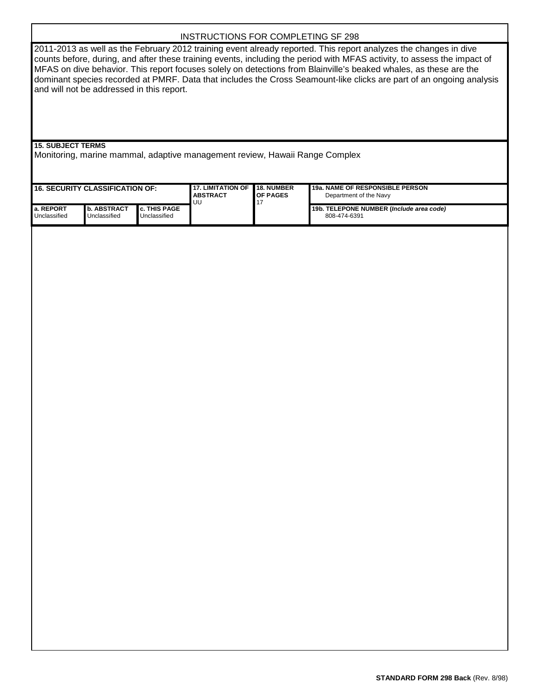# INSTRUCTIONS FOR COMPLETING SF 298

2011-2013 as well as the February 2012 training event already reported. This report analyzes the changes in dive counts before, during, and after these training events, including the period with MFAS activity, to assess the impact of MFAS on dive behavior. This report focuses solely on detections from Blainville's beaked whales, as these are the dominant species recorded at PMRF. Data that includes the Cross Seamount-like clicks are part of an ongoing analysis and will not be addressed in this report.

**15. SUBJECT TERMS**

Monitoring, marine mammal, adaptive management review, Hawaii Range Complex

| <b>16. SECURITY CLASSIFICATION OF:</b> |                                      | <b>117. LIMITATION OF</b><br><b>I ABSTRACT</b><br><b>UU</b> | <b>18. NUMBER</b><br><b>OF PAGES</b> | <b>19a. NAME OF RESPONSIBLE PERSON</b><br>Department of the Navy |                                                          |
|----------------------------------------|--------------------------------------|-------------------------------------------------------------|--------------------------------------|------------------------------------------------------------------|----------------------------------------------------------|
| l a. REPORT<br>Unclassified            | <b>I</b> b. ABSTRACT<br>Unclassified | <b>I</b> c. THIS PAGE<br>Unclassified                       |                                      |                                                                  | 19b. TELEPONE NUMBER (Include area code)<br>808-474-6391 |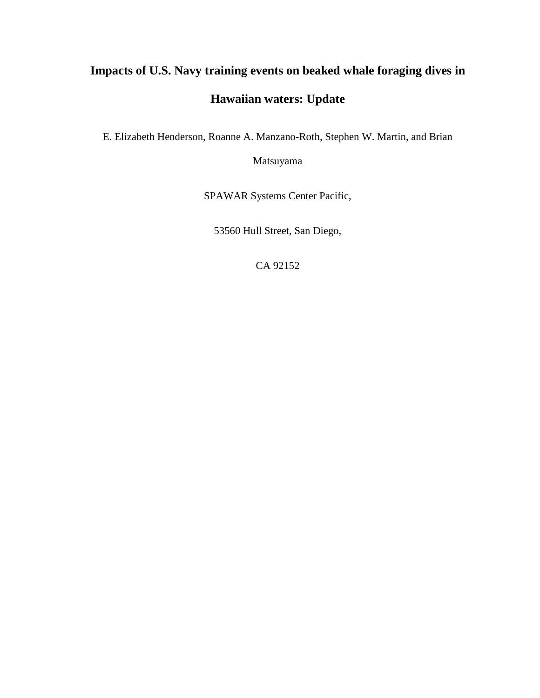# **Impacts of U.S. Navy training events on beaked whale foraging dives in Hawaiian waters: Update**

E. Elizabeth Henderson, Roanne A. Manzano-Roth, Stephen W. Martin, and Brian

Matsuyama

SPAWAR Systems Center Pacific,

53560 Hull Street, San Diego,

CA 92152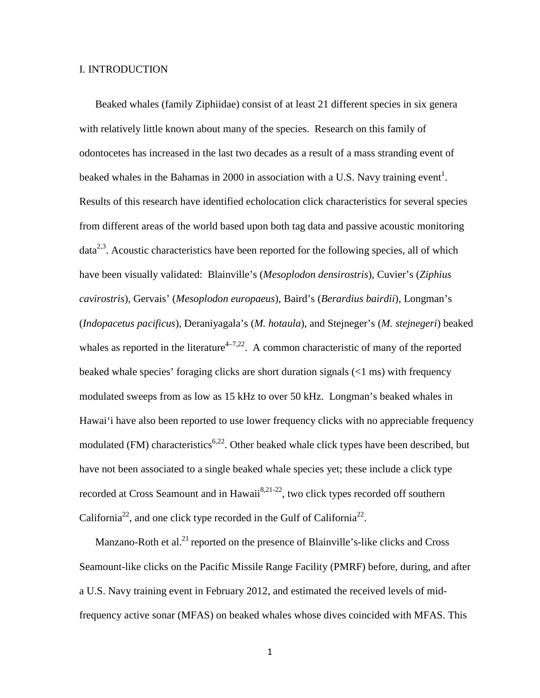#### I. INTRODUCTION

Beaked whales (family Ziphiidae) consist of at least 21 different species in six genera with relatively little known about many of the species. Research on this family of odontocetes has increased in the last two decades as a result of a mass stranding event of beaked whales in the Bahamas in 2000 in association with a U.S. Navy training event<sup>1</sup>. Results of this research have identified echolocation click characteristics for several species from different areas of the world based upon both tag data and passive acoustic monitoring data<sup>2,3</sup>. Acoustic characteristics have been reported for the following species, all of which have been visually validated: Blainville's (*Mesoplodon densirostris*), Cuvier's (*Ziphius cavirostris*), Gervais' (*Mesoplodon europaeus*), Baird's (*Berardius bairdii*), Longman's (*Indopacetus pacificus*), Deraniyagala's (*M. hotaula*), and Stejneger's (*M. stejnegeri*) beaked whales as reported in the literature<sup>4-7,22</sup>. A common characteristic of many of the reported beaked whale species' foraging clicks are short duration signals (<1 ms) with frequency modulated sweeps from as low as 15 kHz to over 50 kHz. Longman's beaked whales in Hawai'i have also been reported to use lower frequency clicks with no appreciable frequency modulated (FM) characteristics<sup>6,22</sup>. Other beaked whale click types have been described, but have not been associated to a single beaked whale species yet; these include a click type recorded at Cross Seamount and in Hawaii<sup>8,21-22</sup>, two click types recorded off southern California<sup>22</sup>, and one click type recorded in the Gulf of California<sup>22</sup>.

Manzano-Roth et al. $^{21}$  reported on the presence of Blainville's-like clicks and Cross Seamount-like clicks on the Pacific Missile Range Facility (PMRF) before, during, and after a U.S. Navy training event in February 2012, and estimated the received levels of midfrequency active sonar (MFAS) on beaked whales whose dives coincided with MFAS. This

1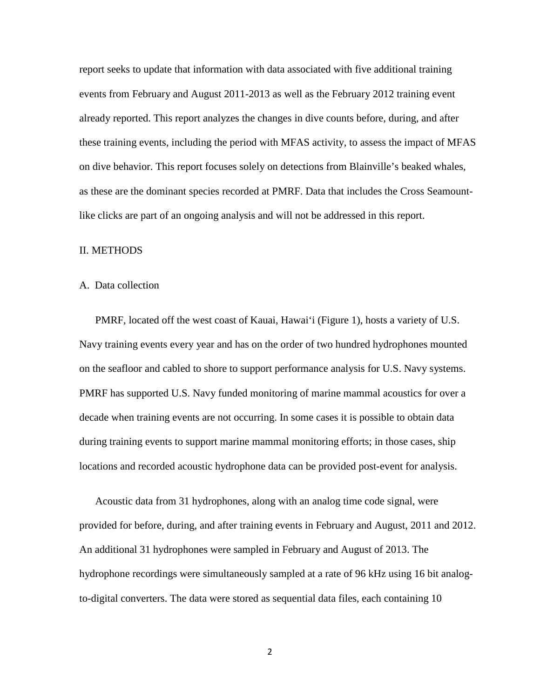report seeks to update that information with data associated with five additional training events from February and August 2011-2013 as well as the February 2012 training event already reported. This report analyzes the changes in dive counts before, during, and after these training events, including the period with MFAS activity, to assess the impact of MFAS on dive behavior. This report focuses solely on detections from Blainville's beaked whales, as these are the dominant species recorded at PMRF. Data that includes the Cross Seamountlike clicks are part of an ongoing analysis and will not be addressed in this report.

#### II. METHODS

#### A. Data collection

PMRF, located off the west coast of Kauai, Hawai'i (Figure 1), hosts a variety of U.S. Navy training events every year and has on the order of two hundred hydrophones mounted on the seafloor and cabled to shore to support performance analysis for U.S. Navy systems. PMRF has supported U.S. Navy funded monitoring of marine mammal acoustics for over a decade when training events are not occurring. In some cases it is possible to obtain data during training events to support marine mammal monitoring efforts; in those cases, ship locations and recorded acoustic hydrophone data can be provided post-event for analysis.

Acoustic data from 31 hydrophones, along with an analog time code signal, were provided for before, during, and after training events in February and August, 2011 and 2012. An additional 31 hydrophones were sampled in February and August of 2013. The hydrophone recordings were simultaneously sampled at a rate of 96 kHz using 16 bit analogto-digital converters. The data were stored as sequential data files, each containing 10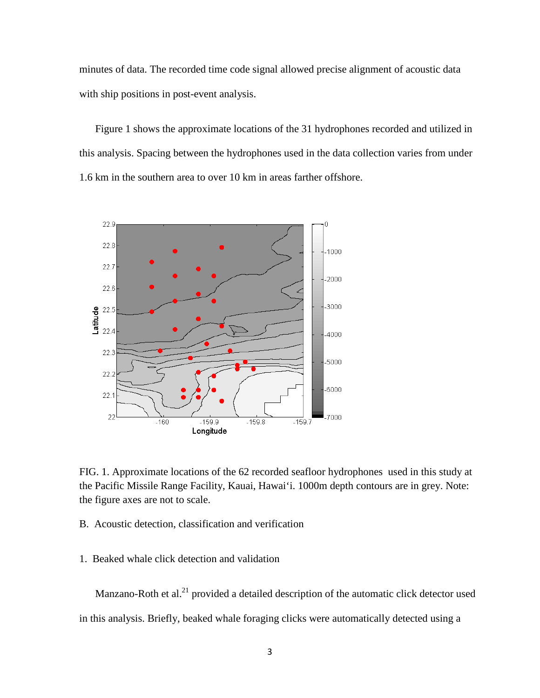minutes of data. The recorded time code signal allowed precise alignment of acoustic data with ship positions in post-event analysis.

Figure 1 shows the approximate locations of the 31 hydrophones recorded and utilized in this analysis. Spacing between the hydrophones used in the data collection varies from under 1.6 km in the southern area to over 10 km in areas farther offshore.



FIG. 1. Approximate locations of the 62 recorded seafloor hydrophones used in this study at the Pacific Missile Range Facility, Kauai, Hawai'i. 1000m depth contours are in grey. Note: the figure axes are not to scale.

B. Acoustic detection, classification and verification

1. Beaked whale click detection and validation

Manzano-Roth et al.<sup>21</sup> provided a detailed description of the automatic click detector used in this analysis. Briefly, beaked whale foraging clicks were automatically detected using a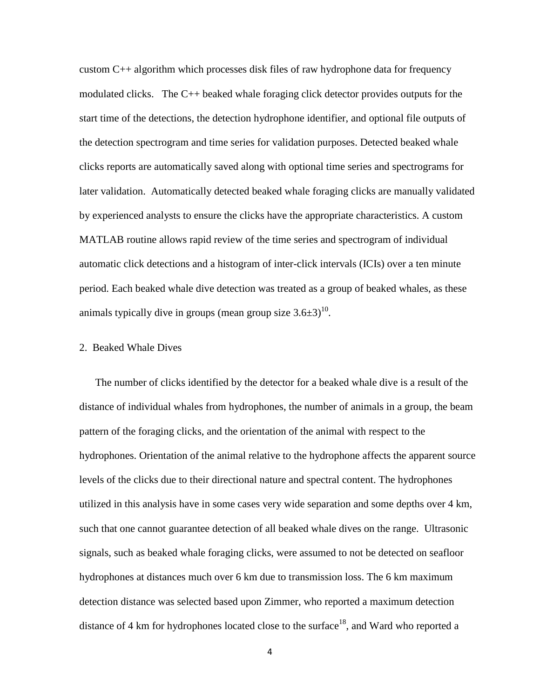custom  $C_{++}$  algorithm which processes disk files of raw hydrophone data for frequency modulated clicks. The C++ beaked whale foraging click detector provides outputs for the start time of the detections, the detection hydrophone identifier, and optional file outputs of the detection spectrogram and time series for validation purposes. Detected beaked whale clicks reports are automatically saved along with optional time series and spectrograms for later validation. Automatically detected beaked whale foraging clicks are manually validated by experienced analysts to ensure the clicks have the appropriate characteristics. A custom MATLAB routine allows rapid review of the time series and spectrogram of individual automatic click detections and a histogram of inter-click intervals (ICIs) over a ten minute period. Each beaked whale dive detection was treated as a group of beaked whales, as these animals typically dive in groups (mean group size  $3.6\pm3$ )<sup>10</sup>.

## 2. Beaked Whale Dives

The number of clicks identified by the detector for a beaked whale dive is a result of the distance of individual whales from hydrophones, the number of animals in a group, the beam pattern of the foraging clicks, and the orientation of the animal with respect to the hydrophones. Orientation of the animal relative to the hydrophone affects the apparent source levels of the clicks due to their directional nature and spectral content. The hydrophones utilized in this analysis have in some cases very wide separation and some depths over 4 km, such that one cannot guarantee detection of all beaked whale dives on the range. Ultrasonic signals, such as beaked whale foraging clicks, were assumed to not be detected on seafloor hydrophones at distances much over 6 km due to transmission loss. The 6 km maximum detection distance was selected based upon Zimmer, who reported a maximum detection distance of 4 km for hydrophones located close to the surface<sup>18</sup>, and Ward who reported a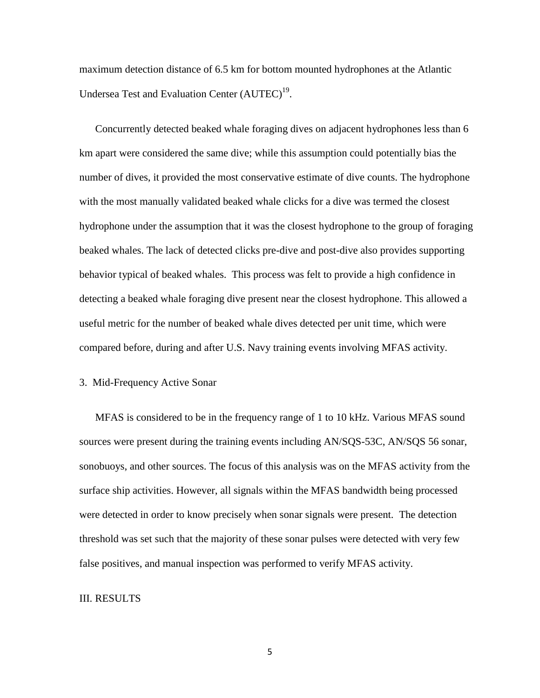maximum detection distance of 6.5 km for bottom mounted hydrophones at the Atlantic Undersea Test and Evaluation Center (AUTEC)<sup>19</sup>.

Concurrently detected beaked whale foraging dives on adjacent hydrophones less than 6 km apart were considered the same dive; while this assumption could potentially bias the number of dives, it provided the most conservative estimate of dive counts. The hydrophone with the most manually validated beaked whale clicks for a dive was termed the closest hydrophone under the assumption that it was the closest hydrophone to the group of foraging beaked whales. The lack of detected clicks pre-dive and post-dive also provides supporting behavior typical of beaked whales. This process was felt to provide a high confidence in detecting a beaked whale foraging dive present near the closest hydrophone. This allowed a useful metric for the number of beaked whale dives detected per unit time, which were compared before, during and after U.S. Navy training events involving MFAS activity.

# 3. Mid-Frequency Active Sonar

MFAS is considered to be in the frequency range of 1 to 10 kHz. Various MFAS sound sources were present during the training events including AN/SQS-53C, AN/SQS 56 sonar, sonobuoys, and other sources. The focus of this analysis was on the MFAS activity from the surface ship activities. However, all signals within the MFAS bandwidth being processed were detected in order to know precisely when sonar signals were present. The detection threshold was set such that the majority of these sonar pulses were detected with very few false positives, and manual inspection was performed to verify MFAS activity.

## III. RESULTS

5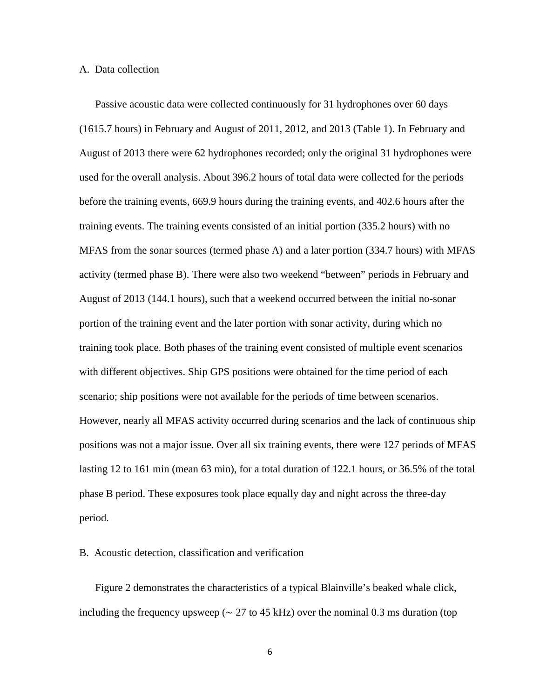#### A. Data collection

Passive acoustic data were collected continuously for 31 hydrophones over 60 days (1615.7 hours) in February and August of 2011, 2012, and 2013 (Table 1). In February and August of 2013 there were 62 hydrophones recorded; only the original 31 hydrophones were used for the overall analysis. About 396.2 hours of total data were collected for the periods before the training events, 669.9 hours during the training events, and 402.6 hours after the training events. The training events consisted of an initial portion (335.2 hours) with no MFAS from the sonar sources (termed phase A) and a later portion (334.7 hours) with MFAS activity (termed phase B). There were also two weekend "between" periods in February and August of 2013 (144.1 hours), such that a weekend occurred between the initial no-sonar portion of the training event and the later portion with sonar activity, during which no training took place. Both phases of the training event consisted of multiple event scenarios with different objectives. Ship GPS positions were obtained for the time period of each scenario; ship positions were not available for the periods of time between scenarios. However, nearly all MFAS activity occurred during scenarios and the lack of continuous ship positions was not a major issue. Over all six training events, there were 127 periods of MFAS lasting 12 to 161 min (mean 63 min), for a total duration of 122.1 hours, or 36.5% of the total phase B period. These exposures took place equally day and night across the three-day period.

## B. Acoustic detection, classification and verification

Figure 2 demonstrates the characteristics of a typical Blainville's beaked whale click, including the frequency upsweep ( $\sim$  27 to 45 kHz) over the nominal 0.3 ms duration (top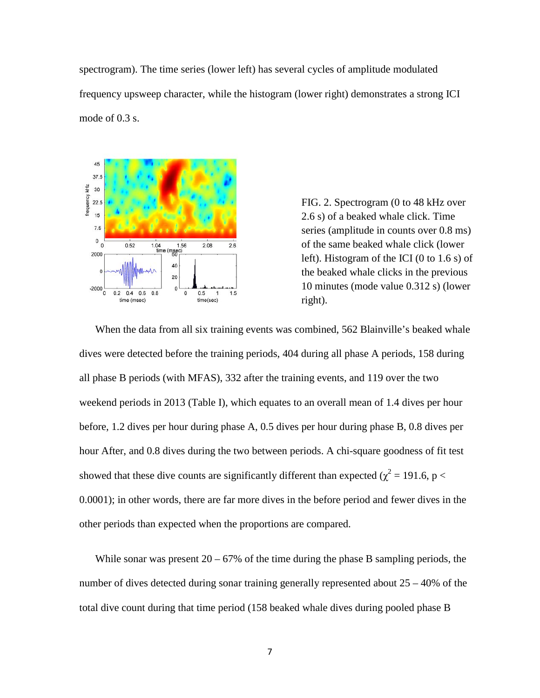spectrogram). The time series (lower left) has several cycles of amplitude modulated frequency upsweep character, while the histogram (lower right) demonstrates a strong ICI mode of 0.3 s.



FIG. 2. Spectrogram (0 to 48 kHz over 2.6 s) of a beaked whale click. Time series (amplitude in counts over 0.8 ms) of the same beaked whale click (lower left). Histogram of the ICI (0 to 1.6 s) of the beaked whale clicks in the previous 10 minutes (mode value 0.312 s) (lower right).

When the data from all six training events was combined, 562 Blainville's beaked whale dives were detected before the training periods, 404 during all phase A periods, 158 during all phase B periods (with MFAS), 332 after the training events, and 119 over the two weekend periods in 2013 (Table I), which equates to an overall mean of 1.4 dives per hour before, 1.2 dives per hour during phase A, 0.5 dives per hour during phase B, 0.8 dives per hour After, and 0.8 dives during the two between periods. A chi-square goodness of fit test showed that these dive counts are significantly different than expected ( $\chi^2 = 191.6$ , p < 0.0001); in other words, there are far more dives in the before period and fewer dives in the other periods than expected when the proportions are compared.

While sonar was present  $20 - 67\%$  of the time during the phase B sampling periods, the number of dives detected during sonar training generally represented about 25 – 40% of the total dive count during that time period (158 beaked whale dives during pooled phase B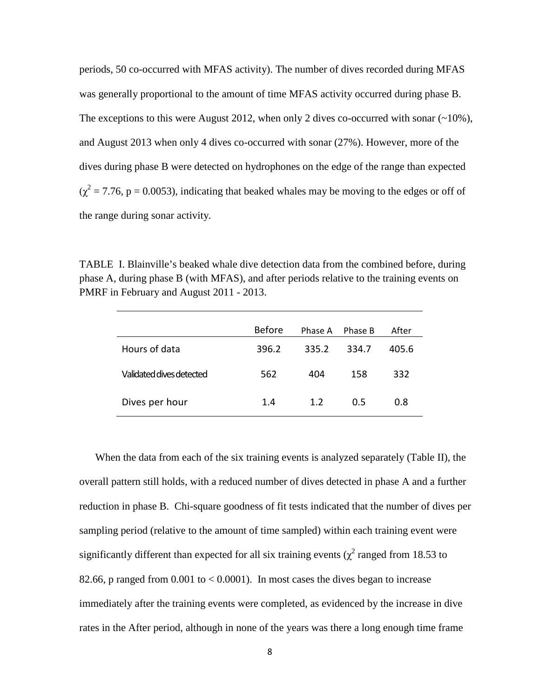periods, 50 co-occurred with MFAS activity). The number of dives recorded during MFAS was generally proportional to the amount of time MFAS activity occurred during phase B. The exceptions to this were August 2012, when only 2 dives co-occurred with sonar  $(\sim 10\%)$ , and August 2013 when only 4 dives co-occurred with sonar (27%). However, more of the dives during phase B were detected on hydrophones on the edge of the range than expected  $(\chi^2 = 7.76, p = 0.0053)$ , indicating that beaked whales may be moving to the edges or off of the range during sonar activity.

TABLE I. Blainville's beaked whale dive detection data from the combined before, during phase A, during phase B (with MFAS), and after periods relative to the training events on PMRF in February and August 2011 - 2013.

|                          | Before | Phase A | Phase B | After |
|--------------------------|--------|---------|---------|-------|
| Hours of data            | 396.2  | 335.2   | 334.7   | 405.6 |
| Validated dives detected | 562    | 404     | 158     | 332   |
| Dives per hour           | 1.4    | 1.2     | 0.5     | 0.8   |

When the data from each of the six training events is analyzed separately (Table II), the overall pattern still holds, with a reduced number of dives detected in phase A and a further reduction in phase B. Chi-square goodness of fit tests indicated that the number of dives per sampling period (relative to the amount of time sampled) within each training event were significantly different than expected for all six training events ( $\chi^2$  ranged from 18.53 to 82.66, p ranged from  $0.001$  to  $< 0.0001$ ). In most cases the dives began to increase immediately after the training events were completed, as evidenced by the increase in dive rates in the After period, although in none of the years was there a long enough time frame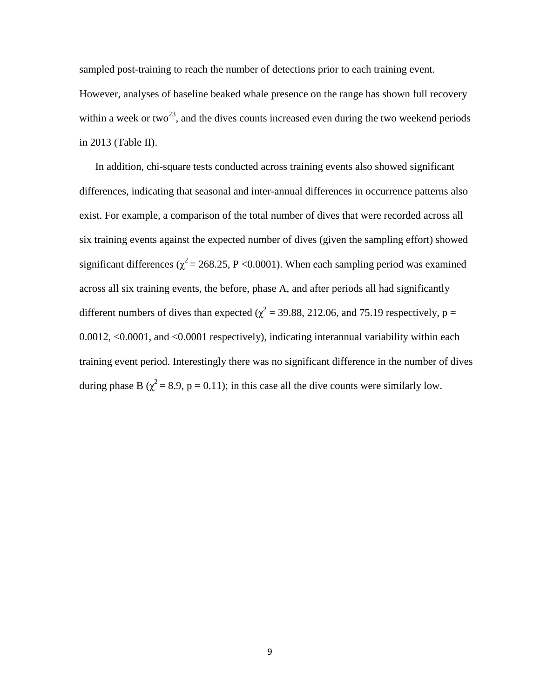sampled post-training to reach the number of detections prior to each training event. However, analyses of baseline beaked whale presence on the range has shown full recovery within a week or two<sup>23</sup>, and the dives counts increased even during the two weekend periods in 2013 (Table II).

In addition, chi-square tests conducted across training events also showed significant differences, indicating that seasonal and inter-annual differences in occurrence patterns also exist. For example, a comparison of the total number of dives that were recorded across all six training events against the expected number of dives (given the sampling effort) showed significant differences ( $\chi^2$  = 268.25, P < 0.0001). When each sampling period was examined across all six training events, the before, phase A, and after periods all had significantly different numbers of dives than expected ( $\chi^2$  = 39.88, 212.06, and 75.19 respectively, p = 0.0012, <0.0001, and <0.0001 respectively), indicating interannual variability within each training event period. Interestingly there was no significant difference in the number of dives during phase B ( $\chi^2$  = 8.9, p = 0.11); in this case all the dive counts were similarly low.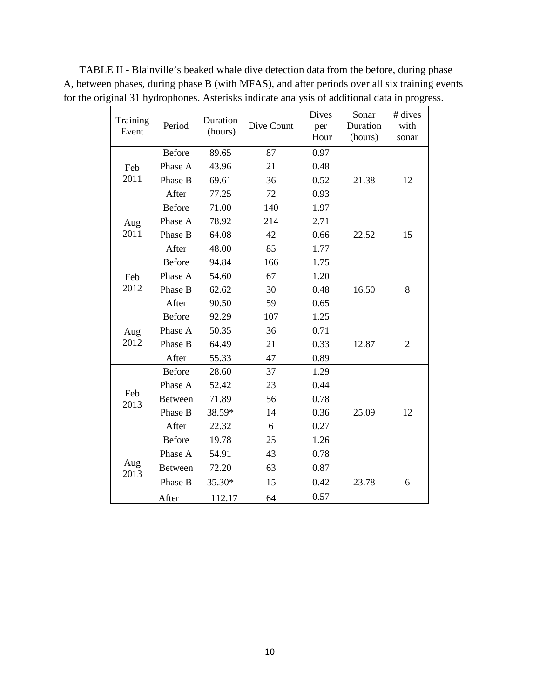TABLE II - Blainville's beaked whale dive detection data from the before, during phase A, between phases, during phase B (with MFAS), and after periods over all six training events for the original 31 hydrophones. Asterisks indicate analysis of additional data in progress.

| Training<br>Event | Period         | Duration<br>(hours) | Dive Count | Dives<br>per<br>Hour | Sonar<br>Duration<br>(hours) | # dives<br>with<br>sonar |
|-------------------|----------------|---------------------|------------|----------------------|------------------------------|--------------------------|
| Feb               | <b>Before</b>  | 89.65               | 87         | 0.97                 |                              |                          |
|                   | Phase A        | 43.96               | 21         | 0.48                 |                              |                          |
| 2011              | Phase B        | 69.61               | 36         | 0.52                 | 21.38                        | 12                       |
|                   | After          | 77.25               | 72         | 0.93                 |                              |                          |
|                   | <b>Before</b>  | 71.00               | 140        | 1.97                 |                              |                          |
| Aug               | Phase A        | 78.92               | 214        | 2.71                 |                              |                          |
| 2011              | Phase B        | 64.08               | 42         | 0.66                 | 22.52                        | 15                       |
|                   | After          | 48.00               | 85         | 1.77                 |                              |                          |
|                   | <b>Before</b>  | 94.84               | 166        | 1.75                 |                              |                          |
| Feb               | Phase A        | 54.60               | 67         | 1.20                 |                              |                          |
| 2012              | Phase B        | 62.62               | 30         | 0.48                 | 16.50                        | 8                        |
|                   | After          | 90.50               | 59         | 0.65                 |                              |                          |
|                   | <b>Before</b>  | 92.29               | 107        | 1.25                 |                              |                          |
| Aug               | Phase A        | 50.35               | 36         | 0.71                 |                              |                          |
| 2012              | Phase B        | 64.49               | 21         | 0.33                 | 12.87                        | $\overline{2}$           |
|                   | After          | 55.33               | 47         | 0.89                 |                              |                          |
|                   | <b>Before</b>  | 28.60               | 37         | 1.29                 |                              |                          |
|                   | Phase A        | 52.42               | 23         | 0.44                 |                              |                          |
| Feb<br>2013       | <b>Between</b> | 71.89               | 56         | 0.78                 |                              |                          |
|                   | Phase B        | 38.59*              | 14         | 0.36                 | 25.09                        | 12                       |
|                   | After          | 22.32               | 6          | 0.27                 |                              |                          |
| Aug<br>2013       | <b>Before</b>  | 19.78               | 25         | 1.26                 |                              |                          |
|                   | Phase A        | 54.91               | 43         | 0.78                 |                              |                          |
|                   | <b>Between</b> | 72.20               | 63         | 0.87                 |                              |                          |
|                   | Phase B        | 35.30*              | 15         | 0.42                 | 23.78                        | 6                        |
|                   | After          | 112.17              | 64         | 0.57                 |                              |                          |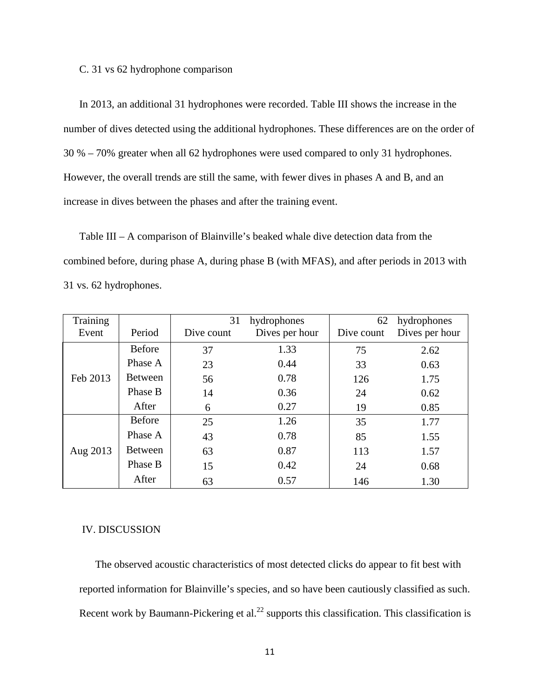#### C. 31 vs 62 hydrophone comparison

In 2013, an additional 31 hydrophones were recorded. Table III shows the increase in the number of dives detected using the additional hydrophones. These differences are on the order of 30 % – 70% greater when all 62 hydrophones were used compared to only 31 hydrophones. However, the overall trends are still the same, with fewer dives in phases A and B, and an increase in dives between the phases and after the training event.

Table III – A comparison of Blainville's beaked whale dive detection data from the combined before, during phase A, during phase B (with MFAS), and after periods in 2013 with 31 vs. 62 hydrophones.

| Training |                | 31<br>hydrophones |                | hydrophones<br>62 |                |  |
|----------|----------------|-------------------|----------------|-------------------|----------------|--|
| Event    | Period         | Dive count        | Dives per hour | Dive count        | Dives per hour |  |
|          | <b>Before</b>  | 37                | 1.33           | 75                | 2.62           |  |
|          | Phase A        | 23                | 0.44           | 33                | 0.63           |  |
| Feb 2013 | <b>Between</b> | 56                | 0.78           | 126               | 1.75           |  |
|          | Phase B        | 14                | 0.36           | 24                | 0.62           |  |
|          | After          | 6                 | 0.27           | 19                | 0.85           |  |
|          | <b>Before</b>  | 25                | 1.26           | 35                | 1.77           |  |
|          | Phase A        | 43                | 0.78           | 85                | 1.55           |  |
| Aug 2013 | <b>Between</b> | 63                | 0.87           | 113               | 1.57           |  |
|          | Phase B        | 15                | 0.42           | 24                | 0.68           |  |
|          | After          | 63                | 0.57           | 146               | 1.30           |  |

#### IV. DISCUSSION

The observed acoustic characteristics of most detected clicks do appear to fit best with reported information for Blainville's species, and so have been cautiously classified as such. Recent work by Baumann-Pickering et al.<sup>22</sup> supports this classification. This classification is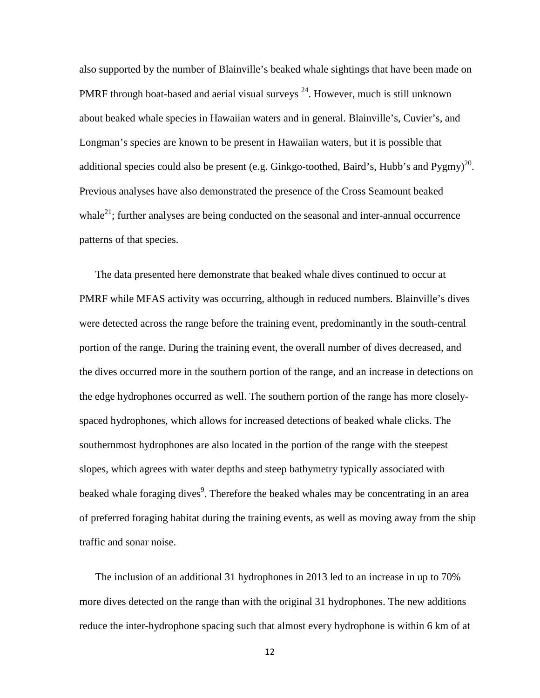also supported by the number of Blainville's beaked whale sightings that have been made on PMRF through boat-based and aerial visual surveys  $^{24}$ . However, much is still unknown about beaked whale species in Hawaiian waters and in general. Blainville's, Cuvier's, and Longman's species are known to be present in Hawaiian waters, but it is possible that additional species could also be present (e.g. Ginkgo-toothed, Baird's, Hubb's and Pygmy)<sup>20</sup>. Previous analyses have also demonstrated the presence of the Cross Seamount beaked whale<sup>21</sup>; further analyses are being conducted on the seasonal and inter-annual occurrence patterns of that species.

The data presented here demonstrate that beaked whale dives continued to occur at PMRF while MFAS activity was occurring, although in reduced numbers. Blainville's dives were detected across the range before the training event, predominantly in the south-central portion of the range. During the training event, the overall number of dives decreased, and the dives occurred more in the southern portion of the range, and an increase in detections on the edge hydrophones occurred as well. The southern portion of the range has more closelyspaced hydrophones, which allows for increased detections of beaked whale clicks. The southernmost hydrophones are also located in the portion of the range with the steepest slopes, which agrees with water depths and steep bathymetry typically associated with beaked whale foraging dives<sup>9</sup>. Therefore the beaked whales may be concentrating in an area of preferred foraging habitat during the training events, as well as moving away from the ship traffic and sonar noise.

The inclusion of an additional 31 hydrophones in 2013 led to an increase in up to 70% more dives detected on the range than with the original 31 hydrophones. The new additions reduce the inter-hydrophone spacing such that almost every hydrophone is within 6 km of at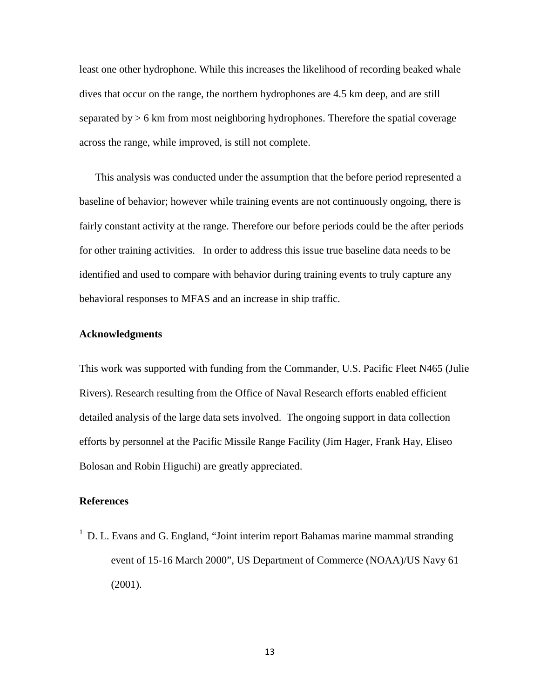least one other hydrophone. While this increases the likelihood of recording beaked whale dives that occur on the range, the northern hydrophones are 4.5 km deep, and are still separated by > 6 km from most neighboring hydrophones. Therefore the spatial coverage across the range, while improved, is still not complete.

This analysis was conducted under the assumption that the before period represented a baseline of behavior; however while training events are not continuously ongoing, there is fairly constant activity at the range. Therefore our before periods could be the after periods for other training activities. In order to address this issue true baseline data needs to be identified and used to compare with behavior during training events to truly capture any behavioral responses to MFAS and an increase in ship traffic.

## **Acknowledgments**

This work was supported with funding from the Commander, U.S. Pacific Fleet N465 (Julie Rivers). Research resulting from the Office of Naval Research efforts enabled efficient detailed analysis of the large data sets involved. The ongoing support in data collection efforts by personnel at the Pacific Missile Range Facility (Jim Hager, Frank Hay, Eliseo Bolosan and Robin Higuchi) are greatly appreciated.

## **References**

 $1$  D. L. Evans and G. England, "Joint interim report Bahamas marine mammal stranding event of 15-16 March 2000", US Department of Commerce (NOAA)/US Navy 61 (2001).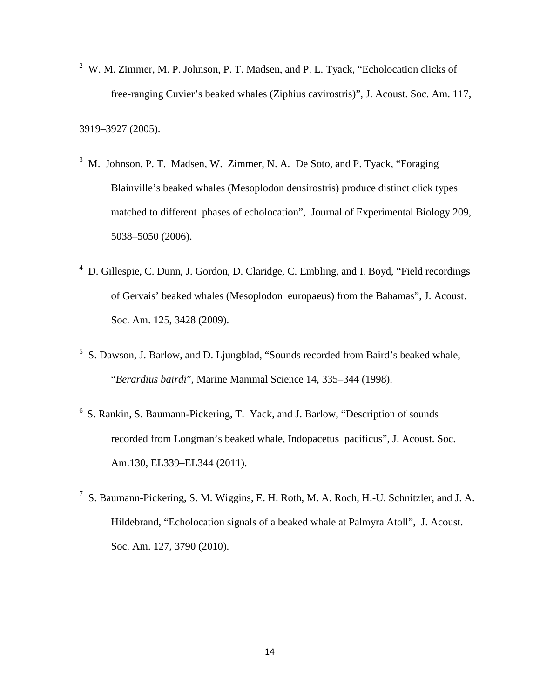$2^2$  W. M. Zimmer, M. P. Johnson, P. T. Madsen, and P. L. Tyack, "Echolocation clicks of free-ranging Cuvier's beaked whales (Ziphius cavirostris)", J. Acoust. Soc. Am. 117,

3919–3927 (2005).

- <sup>3</sup> M. Johnson, P. T. Madsen, W. Zimmer, N. A. De Soto, and P. Tyack, "Foraging Blainville's beaked whales (Mesoplodon densirostris) produce distinct click types matched to different phases of echolocation", Journal of Experimental Biology 209, 5038–5050 (2006).
- <sup>4</sup> D. Gillespie, C. Dunn, J. Gordon, D. Claridge, C. Embling, and I. Boyd, "Field recordings of Gervais' beaked whales (Mesoplodon europaeus) from the Bahamas", J. Acoust. Soc. Am. 125, 3428 (2009).
- <sup>5</sup> S. Dawson, J. Barlow, and D. Ljungblad, "Sounds recorded from Baird's beaked whale, "*Berardius bairdi*", Marine Mammal Science 14, 335–344 (1998).
- 6 S. Rankin, S. Baumann-Pickering, T. Yack, and J. Barlow, "Description of sounds recorded from Longman's beaked whale, Indopacetus pacificus", J. Acoust. Soc. Am.130, EL339–EL344 (2011).
- $^7$  S. Baumann-Pickering, S. M. Wiggins, E. H. Roth, M. A. Roch, H.-U. Schnitzler, and J. A. Hildebrand, "Echolocation signals of a beaked whale at Palmyra Atoll", J. Acoust. Soc. Am. 127, 3790 (2010).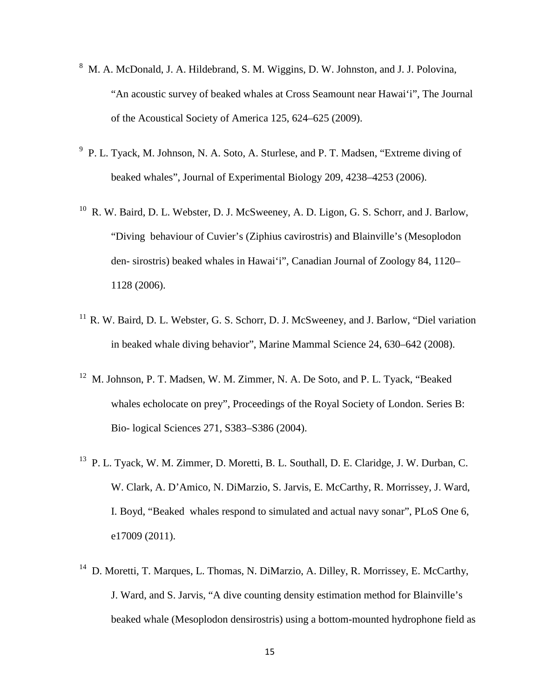- <sup>8</sup> M. A. McDonald, J. A. Hildebrand, S. M. Wiggins, D. W. Johnston, and J. J. Polovina, "An acoustic survey of beaked whales at Cross Seamount near Hawai'i", The Journal of the Acoustical Society of America 125, 624–625 (2009).
- <sup>9</sup> P. L. Tyack, M. Johnson, N. A. Soto, A. Sturlese, and P. T. Madsen, "Extreme diving of beaked whales", Journal of Experimental Biology 209, 4238–4253 (2006).
- <sup>10</sup> R. W. Baird, D. L. Webster, D. J. McSweeney, A. D. Ligon, G. S. Schorr, and J. Barlow, "Diving behaviour of Cuvier's (Ziphius cavirostris) and Blainville's (Mesoplodon den- sirostris) beaked whales in Hawai'i", Canadian Journal of Zoology 84, 1120– 1128 (2006).
- <sup>11</sup> R. W. Baird, D. L. Webster, G. S. Schorr, D. J. McSweeney, and J. Barlow, "Diel variation in beaked whale diving behavior", Marine Mammal Science 24, 630–642 (2008).
- <sup>12</sup> M. Johnson, P. T. Madsen, W. M. Zimmer, N. A. De Soto, and P. L. Tyack, "Beaked" whales echolocate on prey", Proceedings of the Royal Society of London. Series B: Bio- logical Sciences 271, S383–S386 (2004).
- <sup>13</sup> P. L. Tyack, W. M. Zimmer, D. Moretti, B. L. Southall, D. E. Claridge, J. W. Durban, C. W. Clark, A. D'Amico, N. DiMarzio, S. Jarvis, E. McCarthy, R. Morrissey, J. Ward, I. Boyd, "Beaked whales respond to simulated and actual navy sonar", PLoS One 6, e17009 (2011).
- <sup>14</sup> D. Moretti, T. Marques, L. Thomas, N. DiMarzio, A. Dilley, R. Morrissey, E. McCarthy, J. Ward, and S. Jarvis, "A dive counting density estimation method for Blainville's beaked whale (Mesoplodon densirostris) using a bottom-mounted hydrophone field as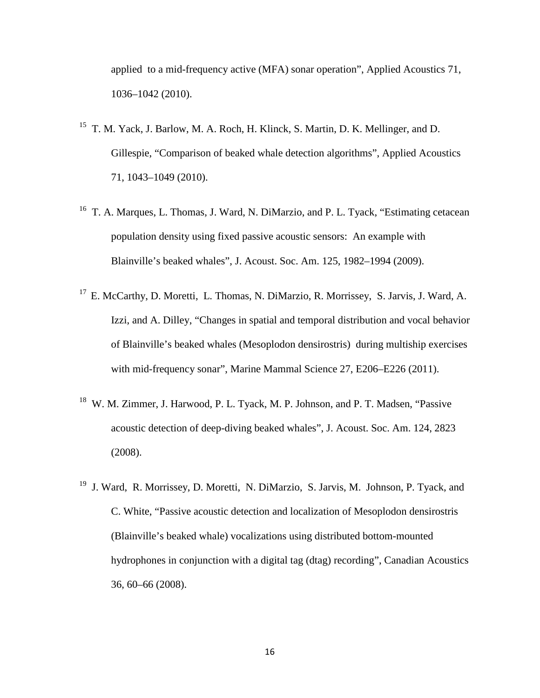applied to a mid-frequency active (MFA) sonar operation", Applied Acoustics 71, 1036–1042 (2010).

- 15 T. M. Yack, J. Barlow, M. A. Roch, H. Klinck, S. Martin, D. K. Mellinger, and D. Gillespie, "Comparison of beaked whale detection algorithms", Applied Acoustics 71, 1043–1049 (2010).
- <sup>16</sup> T. A. Marques, L. Thomas, J. Ward, N. DiMarzio, and P. L. Tyack, "Estimating cetacean population density using fixed passive acoustic sensors: An example with Blainville's beaked whales", J. Acoust. Soc. Am. 125, 1982–1994 (2009).
- <sup>17</sup> E. McCarthy, D. Moretti, L. Thomas, N. DiMarzio, R. Morrissey, S. Jarvis, J. Ward, A. Izzi, and A. Dilley, "Changes in spatial and temporal distribution and vocal behavior of Blainville's beaked whales (Mesoplodon densirostris) during multiship exercises with mid-frequency sonar", Marine Mammal Science 27, E206–E226 (2011).
- <sup>18</sup> W. M. Zimmer, J. Harwood, P. L. Tyack, M. P. Johnson, and P. T. Madsen, "Passive acoustic detection of deep-diving beaked whales", J. Acoust. Soc. Am. 124, 2823 (2008).
- <sup>19</sup> J. Ward, R. Morrissey, D. Moretti, N. DiMarzio, S. Jarvis, M. Johnson, P. Tyack, and C. White, "Passive acoustic detection and localization of Mesoplodon densirostris (Blainville's beaked whale) vocalizations using distributed bottom-mounted hydrophones in conjunction with a digital tag (dtag) recording", Canadian Acoustics 36, 60–66 (2008).